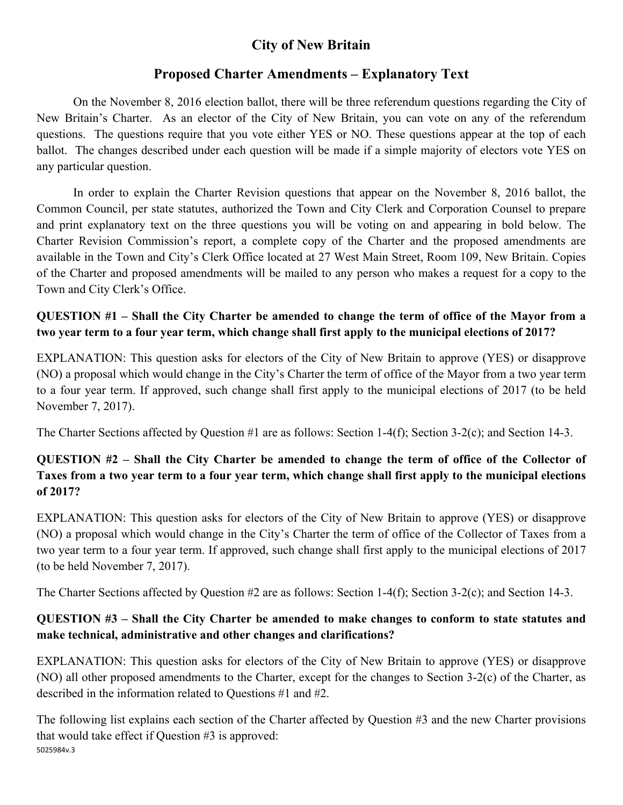# **City of New Britain**

## **Proposed Charter Amendments – Explanatory Text**

 On the November 8, 2016 election ballot, there will be three referendum questions regarding the City of New Britain's Charter. As an elector of the City of New Britain, you can vote on any of the referendum questions. The questions require that you vote either YES or NO. These questions appear at the top of each ballot. The changes described under each question will be made if a simple majority of electors vote YES on any particular question.

 In order to explain the Charter Revision questions that appear on the November 8, 2016 ballot, the Common Council, per state statutes, authorized the Town and City Clerk and Corporation Counsel to prepare and print explanatory text on the three questions you will be voting on and appearing in bold below. The Charter Revision Commission's report, a complete copy of the Charter and the proposed amendments are available in the Town and City's Clerk Office located at 27 West Main Street, Room 109, New Britain. Copies of the Charter and proposed amendments will be mailed to any person who makes a request for a copy to the Town and City Clerk's Office.

#### **QUESTION #1 – Shall the City Charter be amended to change the term of office of the Mayor from a two year term to a four year term, which change shall first apply to the municipal elections of 2017?**

EXPLANATION: This question asks for electors of the City of New Britain to approve (YES) or disapprove (NO) a proposal which would change in the City's Charter the term of office of the Mayor from a two year term to a four year term. If approved, such change shall first apply to the municipal elections of 2017 (to be held November 7, 2017).

The Charter Sections affected by Question #1 are as follows: Section 1-4(f); Section 3-2(c); and Section 14-3.

### **QUESTION #2 – Shall the City Charter be amended to change the term of office of the Collector of Taxes from a two year term to a four year term, which change shall first apply to the municipal elections of 2017?**

EXPLANATION: This question asks for electors of the City of New Britain to approve (YES) or disapprove (NO) a proposal which would change in the City's Charter the term of office of the Collector of Taxes from a two year term to a four year term. If approved, such change shall first apply to the municipal elections of 2017 (to be held November 7, 2017).

The Charter Sections affected by Question #2 are as follows: Section 1-4(f); Section 3-2(c); and Section 14-3.

#### **QUESTION #3 – Shall the City Charter be amended to make changes to conform to state statutes and make technical, administrative and other changes and clarifications?**

EXPLANATION: This question asks for electors of the City of New Britain to approve (YES) or disapprove (NO) all other proposed amendments to the Charter, except for the changes to Section 3-2(c) of the Charter, as described in the information related to Questions #1 and #2.

5025984v.3 The following list explains each section of the Charter affected by Question #3 and the new Charter provisions that would take effect if Question #3 is approved: